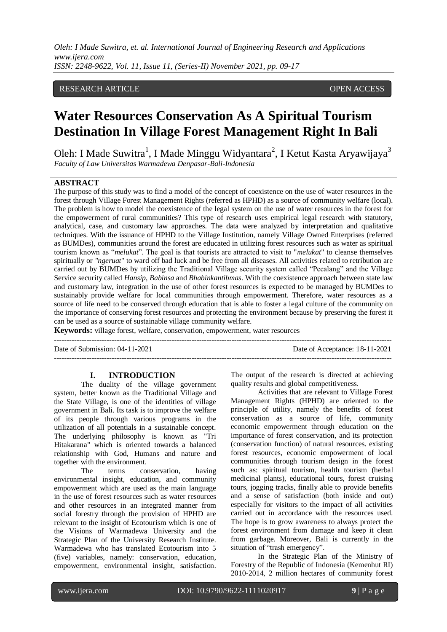## RESEARCH ARTICLE **CONSERVERS** OPEN ACCESS

# **Water Resources Conservation As A Spiritual Tourism Destination In Village Forest Management Right In Bali**

Oleh: I Made Suwitra<sup>1</sup>, I Made Minggu Widyantara<sup>2</sup>, I Ketut Kasta Aryawijaya<sup>3</sup> *Faculty of Law Universitas Warmadewa Denpasar-Bali-Indonesia*

#### **ABSTRACT**

The purpose of this study was to find a model of the concept of coexistence on the use of water resources in the forest through Village Forest Management Rights (referred as HPHD) as a source of community welfare (local). The problem is how to model the coexistence of the legal system on the use of water resources in the forest for the empowerment of rural communities? This type of research uses empirical legal research with statutory, analytical, case, and customary law approaches. The data were analyzed by interpretation and qualitative techniques. With the issuance of HPHD to the Village Institution, namely Village Owned Enterprises (referred as BUMDes), communities around the forest are educated in utilizing forest resources such as water as spiritual tourism known as "*melukat*". The goal is that tourists are attracted to visit to "*melukat*" to cleanse themselves spiritually or *"ngeruat*" to ward off bad luck and be free from all diseases. All activities related to retribution are carried out by BUMDes by utilizing the Traditional Village security system called "Pecalang" and the Village Service security called *Hansip*, *Babinsa* and *Bhabinkantibmas*. With the coexistence approach between state law and customary law, integration in the use of other forest resources is expected to be managed by BUMDes to sustainably provide welfare for local communities through empowerment. Therefore, water resources as a source of life need to be conserved through education that is able to foster a legal culture of the community on the importance of conserving forest resources and protecting the environment because by preserving the forest it can be used as a source of sustainable village community welfare.

---------------------------------------------------------------------------------------------------------------------------------------

---------------------------------------------------------------------------------------------------------------------------------------

**Keywords:** village forest, welfare, conservation, empowerment, water resources

Date of Submission: 04-11-2021 Date of Acceptance: 18-11-2021

together with the environment.

**I. INTRODUCTION**

system, better known as the Traditional Village and the State Village, is one of the identities of village government in Bali. Its task is to improve the welfare of its people through various programs in the utilization of all potentials in a sustainable concept. The underlying philosophy is known as "Tri Hitakarana" which is oriented towards a balanced relationship with God, Humans and nature and

The duality of the village government

The terms conservation, having

environmental insight, education, and community empowerment which are used as the main language in the use of forest resources such as water resources and other resources in an integrated manner from social forestry through the provision of HPHD are relevant to the insight of Ecotourism which is one of the Visions of Warmadewa University and the Strategic Plan of the University Research Institute. Warmadewa who has translated Ecotourism into 5 (five) variables, namely: conservation, education, empowerment, environmental insight, satisfaction. The output of the research is directed at achieving quality results and global competitiveness.

Activities that are relevant to Village Forest Management Rights (HPHD) are oriented to the principle of utility, namely the benefits of forest conservation as a source of life, community economic empowerment through education on the importance of forest conservation, and its protection (conservation function) of natural resources. existing forest resources, economic empowerment of local communities through tourism design in the forest such as: spiritual tourism, health tourism (herbal medicinal plants), educational tours, forest cruising tours, jogging tracks, finally able to provide benefits and a sense of satisfaction (both inside and out) especially for visitors to the impact of all activities carried out in accordance with the resources used. The hope is to grow awareness to always protect the forest environment from damage and keep it clean from garbage. Moreover, Bali is currently in the situation of "trash emergency".

In the Strategic Plan of the Ministry of Forestry of the Republic of Indonesia (Kemenhut RI) 2010-2014, 2 million hectares of community forest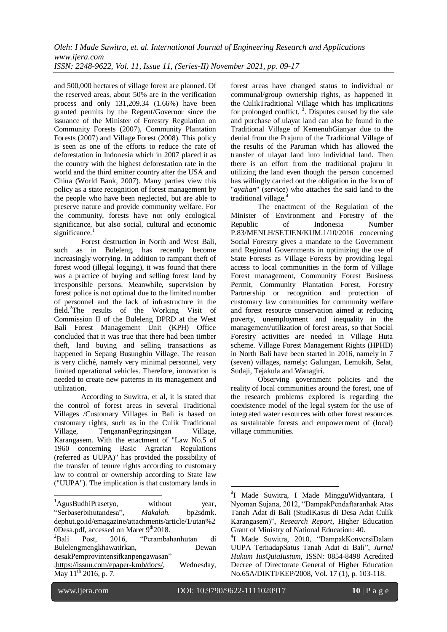and 500,000 hectares of village forest are planned. Of the reserved areas, about 50% are in the verification process and only 131,209.34 (1.66%) have been granted permits by the Regent/Governor since the issuance of the Minister of Forestry Regulation on Community Forests (2007), Community Plantation Forests (2007) and Village Forest (2008). This policy is seen as one of the efforts to reduce the rate of deforestation in Indonesia which in 2007 placed it as the country with the highest deforestation rate in the world and the third emitter country after the USA and China (World Bank, 2007). Many parties view this policy as a state recognition of forest management by the people who have been neglected, but are able to preserve nature and provide community welfare. For the community, forests have not only ecological significance, but also social, cultural and economic significance.

Forest destruction in North and West Bali, such as in Buleleng, has recently become increasingly worrying. In addition to rampant theft of forest wood (illegal logging), it was found that there was a practice of buying and selling forest land by irresponsible persons. Meanwhile, supervision by forest police is not optimal due to the limited number of personnel and the lack of infrastructure in the field. <sup>2</sup>The results of the Working Visit of Commission II of the Buleleng DPRD at the West Bali Forest Management Unit (KPH) Office concluded that it was true that there had been timber theft, land buying and selling transactions as happened in Sepang Busungbiu Village. The reason is very cliché, namely very minimal personnel, very limited operational vehicles. Therefore, innovation is needed to create new patterns in its management and utilization.

According to Suwitra, et al, it is stated that the control of forest areas in several Traditional Villages /Customary Villages in Bali is based on customary rights, such as in the Culik Traditional Village, TengananPegringsingan Village, Karangasem. With the enactment of "Law No.5 of 1960 concerning Basic Agrarian Regulations (referred as UUPA)" has provided the possibility of the transfer of tenure rights according to customary law to control or ownership according to State law ("UUPA"). The implication is that customary lands in forest areas have changed status to individual or communal/group ownership rights, as happened in the CulikTraditional Village which has implications for prolonged conflict.<sup>3</sup>. Disputes caused by the sale and purchase of ulayat land can also be found in the Traditional Village of KemenuhGianyar due to the denial from the Prajuru of the Traditional Village of the results of the Paruman which has allowed the transfer of ulayat land into individual land. Then there is an effort from the traditional prajuru in utilizing the land even though the person concerned has willingly carried out the obligation in the form of "*ayahan*" (service) who attaches the said land to the traditional village. 4

The enactment of the Regulation of the Minister of Environment and Forestry of the Republic of Indonesia Number P.83/MENLH/SETJEN/KUM.1/10/2016 concerning Social Forestry gives a mandate to the Government and Regional Governments in optimizing the use of State Forests as Village Forests by providing legal access to local communities in the form of Village Forest management, Community Forest Business Permit, Community Plantation Forest, Forestry Partnership or recognition and protection of customary law communities for community welfare and forest resource conservation aimed at reducing poverty, unemployment and inequality in the management/utilization of forest areas, so that Social Forestry activities are needed in Village Huta scheme. Village Forest Management Rights (HPHD) in North Bali have been started in 2016, namely in 7 (seven) villages, namely: Galungan, Lemukih, Selat, Sudaji, Tejakula and Wanagiri.

Observing government policies and the reality of local communities around the forest, one of the research problems explored is regarding the coexistence model of the legal system for the use of integrated water resources with other forest resources as sustainable forests and empowerment of (local) village communities.

**.** 

**.** 

<sup>&</sup>lt;sup>1</sup>AgusBudhiPrasetyo, without year, "Serbaserbihutandesa", *Makalah*. bp2sdmk. dephut.go.id/emagazine/attachments/article/1/utan%2 0Desa.pdf, accessed on Maret 9<sup>th</sup>2018.

<sup>&</sup>lt;sup>2</sup>Bali Post, 2016, "Perambahanhutan di Bulelengmengkhawatirkan, Dewan desakPemprovintensifkanpengawasan" [,https://issuu.com/epaper-kmb/docs/,](https://issuu.com/epaper-kmb/docs/) Wednesday, May  $11^{th}$  2016, p. 7.

<sup>&</sup>lt;sup>3</sup>I Made Suwitra, I Made MingguWidyantara, I Nyoman Sujana, 2012, "DampakPendaftaranhak Atas Tanah Adat di Bali (StudiKasus di Desa Adat Culik Karangasem)", *Research Report*, Higher Education Grant of Ministry of National Education: 40.

<sup>4</sup> I Made Suwitra, 2010, "DampakKonversiDalam UUPA TerhadapSatus Tanah Adat di Bali", *Jurnal Hukum IusQuiaIustum*, ISSN: 0854-8498 Acredited Decree of Directorate General of Higher Education No.65A/DIKTI/KEP/2008, Vol. 17 (1), p. 103-118.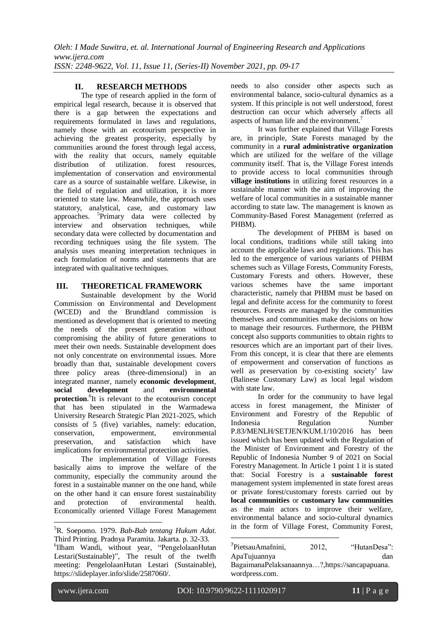## **II. RESEARCH METHODS**

The type of research applied in the form of empirical legal research, because it is observed that there is a gap between the expectations and requirements formulated in laws and regulations, namely those with an ecotourism perspective in achieving the greatest prosperity, especially by communities around the forest through legal access, with the reality that occurs, namely equitable distribution of utilization. forest resources, implementation of conservation and environmental care as a source of sustainable welfare. Likewise, in the field of regulation and utilization, it is more oriented to state law. Meanwhile, the approach uses statutory, analytical, case, and customary law approaches. <sup>5</sup>Primary data were collected by interview and observation techniques, while secondary data were collected by documentation and recording techniques using the file system. The analysis uses meaning interpretation techniques in each formulation of norms and statements that are integrated with qualitative techniques.

#### **III. THEORETICAL FRAMEWORK**

Sustainable development by the World Commission on Environmental and Development (WCED) and the Brundtland commission is mentioned as development that is oriented to meeting the needs of the present generation without compromising the ability of future generations to meet their own needs. Sustainable development does not only concentrate on environmental issues. More broadly than that, sustainable development covers three policy areas (three-dimensional) in an integrated manner, namely **economic development**, **social development** and **environmental protection**.<sup>6</sup>It is relevant to the ecotourism concept that has been stipulated in the Warmadewa University Research Strategic Plan 2021-2025, which consists of 5 (five) variables, namely: education, conservation, empowerment, environmental preservation, and satisfaction which have implications for environmental protection activities.

The implementation of Village Forests basically aims to improve the welfare of the community, especially the community around the forest in a sustainable manner on the one hand, while on the other hand it can ensure forest sustainability<br>and protection of environmental health. and protection of environmental health. Economically oriented Village Forest Management

6 Ilham Wandi, without year, "PengelolaanHutan Lestari(Sustainable)", The result of the twelfh meeting: PengelolaanHutan Lestari (Sustainable), https://slideplayer.info/slide/2587060/.

needs to also consider other aspects such as environmental balance, socio-cultural dynamics as a system. If this principle is not well understood, forest destruction can occur which adversely affects all aspects of human life and the environment.<sup>7</sup>

It was further explained that Village Forests are, in principle, State Forests managed by the community in a **rural administrative organization** which are utilized for the welfare of the village community itself. That is, the Village Forest intends to provide access to local communities through **village institutions** in utilizing forest resources in a sustainable manner with the aim of improving the welfare of local communities in a sustainable manner according to state law. The management is known as Community-Based Forest Management (referred as PHBM).

The development of PHBM is based on local conditions, traditions while still taking into account the applicable laws and regulations. This has led to the emergence of various variants of PHBM schemes such as Village Forests, Community Forests, Customary Forests and others. However, these various schemes have the same important characteristic, namely that PHBM must be based on legal and definite access for the community to forest resources. Forests are managed by the communities themselves and communities make decisions on how to manage their resources. Furthermore, the PHBM concept also supports communities to obtain rights to resources which are an important part of their lives. From this concept, it is clear that there are elements of empowerment and conservation of functions as well as preservation by co-existing society' law (Balinese Customary Law) as local legal wisdom with state law.

In order for the community to have legal access in forest management, the Minister of Environment and Forestry of the Republic of Indonesia Regulation Number P.83/MENLH/SETJEN/KUM.1/10/2016 has been issued which has been updated with the Regulation of the Minister of Environment and Forestry of the Republic of Indonesia Number 9 of 2021 on Social Forestry Management. In Article 1 point 1 it is stated that: Social Forestry is a **sustainable forest** management system implemented in state forest areas or private forest/customary forests carried out by **local communities** or **customary law communities** as the main actors to improve their welfare, environmental balance and socio-cultural dynamics in the form of Village Forest, Community Forest,

**.** 

-

<sup>5</sup>R. Soepomo. 1979. *Bab-Bab tentang Hukum Adat*. Third Printing. Pradnya Paramita. Jakarta. p. 32-33.

<sup>&</sup>lt;sup>7</sup>PietsauAmafnini, 2012, "HutanDesa": ApaTujuannya dan

BagaimanaPelaksanaannya…?,https://sancapapuana. wordpress.com.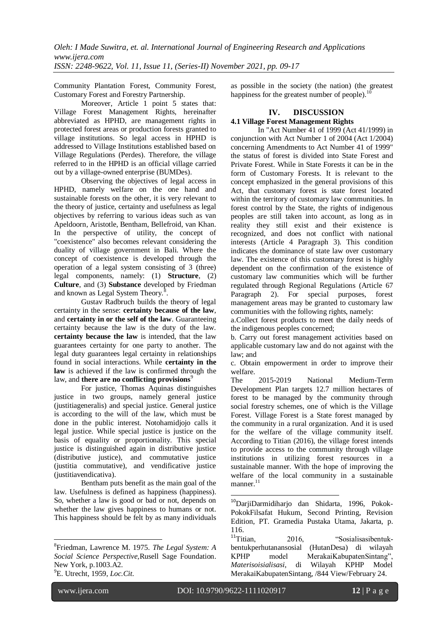Community Plantation Forest, Community Forest, Customary Forest and Forestry Partnership.

Moreover, Article 1 point 5 states that: Village Forest Management Rights, hereinafter abbreviated as HPHD, are management rights in protected forest areas or production forests granted to village institutions. So legal access in HPHD is addressed to Village Institutions established based on Village Regulations (Perdes). Therefore, the village referred to in the HPHD is an official village carried out by a village-owned enterprise (BUMDes).

Observing the objectives of legal access in HPHD, namely welfare on the one hand and sustainable forests on the other, it is very relevant to the theory of justice, certainty and usefulness as legal objectives by referring to various ideas such as van Apeldoorn, Aristotle, Bentham, Bellefroid, van Khan. In the perspective of utility, the concept of "coexistence" also becomes relevant considering the duality of village government in Bali. Where the concept of coexistence is developed through the operation of a legal system consisting of 3 (three) legal components, namely: (1) **Structure**, (2) **Culture**, and (3) **Substance** developed by Friedman and known as Legal System Theory. $^{\overline{8}}$ .

Gustav Radbruch builds the theory of legal certainty in the sense: **certainty because of the law**, and **certainty in or the self of the law**. Guaranteeing certainty because the law is the duty of the law. **certainty because the law** is intended, that the law guarantees certainty for one party to another. The legal duty guarantees legal certainty in relationships found in social interactions. While **certainty in the law** is achieved if the law is confirmed through the law, and **there are no conflicting provisions**<sup>9</sup>

For justice, Thomas Aquinas distinguishes justice in two groups, namely general justice (justitiageneralis) and special justice. General justice is according to the will of the law, which must be done in the public interest. Notohamidjojo calls it legal justice. While special justice is justice on the basis of equality or proportionality. This special justice is distinguished again in distributive justice (distributive justice), and commutative justice (justitia commutative), and vendificative justice (justitiavendicativa).

Bentham puts benefit as the main goal of the law. Usefulness is defined as happiness (happiness). So, whether a law is good or bad or not, depends on whether the law gives happiness to humans or not. This happiness should be felt by as many individuals as possible in the society (the nation) (the greatest happiness for the greatest number of people). $^{10}$ 

## **IV. DISCUSSION**

#### **4.1 Village Forest Management Rights**

In "Act Number 41 of 1999 (Act 41/1999) in conjunction with Act Number 1 of 2004 (Act 1/2004) concerning Amendments to Act Number 41 of 1999" the status of forest is divided into State Forest and Private Forest. While in State Forests it can be in the form of Customary Forests. It is relevant to the concept emphasized in the general provisions of this Act, that customary forest is state forest located within the territory of customary law communities. In forest control by the State, the rights of indigenous peoples are still taken into account, as long as in reality they still exist and their existence is recognized, and does not conflict with national interests (Article 4 Paragraph 3). This condition indicates the dominance of state law over customary law. The existence of this customary forest is highly dependent on the confirmation of the existence of customary law communities which will be further regulated through Regional Regulations (Article 67 Paragraph 2). For special purposes, forest management areas may be granted to customary law communities with the following rights, namely:

a.Collect forest products to meet the daily needs of the indigenous peoples concerned;

b. Carry out forest management activities based on applicable customary law and do not against with the law; and

c. Obtain empowerment in order to improve their welfare.

The 2015-2019 National Medium-Term Development Plan targets 12.7 million hectares of forest to be managed by the community through social forestry schemes, one of which is the Village Forest. Village Forest is a State forest managed by the community in a rural organization. And it is used for the welfare of the village community itself. According to Titian (2016), the village forest intends to provide access to the community through village institutions in utilizing forest resources in a sustainable manner. With the hope of improving the welfare of the local community in a sustainable manner.<sup>11</sup>

1

**.** 

<sup>8</sup> Friedman, Lawrence M. 1975. *The Legal System: A Social Science Perspective,*Rusell Sage Foundation. New York, p.1003.A2. <sup>9</sup>E. Utrecht, 1959, *Loc.Cit*.

<sup>&</sup>lt;sup>10</sup>DarjiDarmidiharjo dan Shidarta, 1996, Pokok-PokokFilsafat Hukum, Second Printing, Revision Edition, PT. Gramedia Pustaka Utama, Jakarta, p.  $116.$ <sup>11</sup>Titian

<sup>2016, &</sup>quot;Sosialisasibentukbentukperhutanansosial (HutanDesa) di wilayah KPHP model MerakaiKabupatenSintang", *Materisoisialisasi*, di Wilayah KPHP Model MerakaiKabupatenSintang, /844 View[/February](http://yayasantitian.org/2016/02/24/) 24.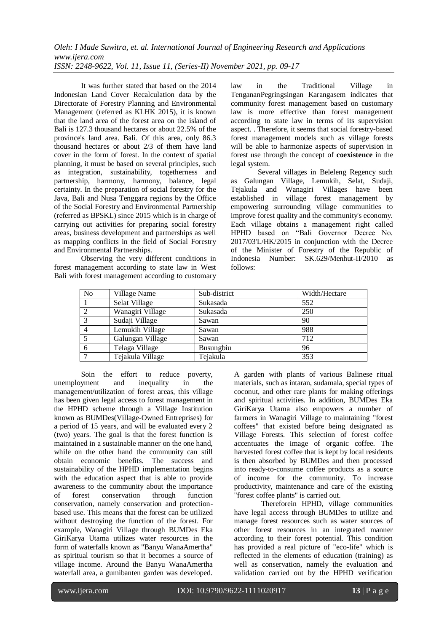It was further stated that based on the 2014 Indonesian Land Cover Recalculation data by the Directorate of Forestry Planning and Environmental Management (referred as KLHK 2015), it is known that the land area of the forest area on the island of Bali is 127.3 thousand hectares or about 22.5% of the province's land area. Bali. Of this area, only 86.3 thousand hectares or about 2/3 of them have land cover in the form of forest. In the context of spatial planning, it must be based on several principles, such as integration, sustainability, togetherness and partnership, harmony, harmony, balance, legal certainty. In the preparation of social forestry for the Java, Bali and Nusa Tenggara regions by the Office of the Social Forestry and Environmental Partnership (referred as BPSKL) since 2015 which is in charge of carrying out activities for preparing social forestry areas, business development and partnerships as well as mapping conflicts in the field of Social Forestry and Environmental Partnerships.

Observing the very different conditions in forest management according to state law in West Bali with forest management according to customary law in the Traditional Village in TengananPegringsingan Karangasem indicates that community forest management based on customary law is more effective than forest management according to state law in terms of its supervision aspect. . Therefore, it seems that social forestry-based forest management models such as village forests will be able to harmonize aspects of supervision in forest use through the concept of **coexistence** in the legal system.

Several villages in Beleleng Regency such as Galungan Village, Lemukih, Selat, Sudaji, Tejakula and Wanagiri Villages have been established in village forest management by empowering surrounding village communities to improve forest quality and the community's economy. Each village obtains a management right called HPHD based on "Bali Governor Decree No. 2017/03'L/HK/2015 in conjunction with the Decree of the Minister of Forestry of the Republic of Indonesia Number: SK.629/Menhut-II/2010 as follows:

| <b>No</b> | Village Name     | Sub-district | Width/Hectare |
|-----------|------------------|--------------|---------------|
|           | Selat Village    | Sukasada     | 552           |
|           | Wanagiri Village | Sukasada     | 250           |
|           | Sudaji Village   | Sawan        | 90            |
|           | Lemukih Village  | Sawan        | 988           |
|           | Galungan Village | Sawan        | 712           |
| 6         | Telaga Village   | Busungbiu    | 96            |
|           | Tejakula Village | Tejakula     | 353           |

Soin the effort to reduce poverty, unemployment and inequality in the management/utilization of forest areas, this village has been given legal access to forest management in the HPHD scheme through a Village Institution known as BUMDes(Village-Owned Entreprises) for a period of 15 years, and will be evaluated every 2 (two) years. The goal is that the forest function is maintained in a sustainable manner on the one hand, while on the other hand the community can still obtain economic benefits. The success and sustainability of the HPHD implementation begins with the education aspect that is able to provide awareness to the community about the importance of forest conservation through function conservation, namely conservation and protectionbased use. This means that the forest can be utilized without destroying the function of the forest. For example, Wanagiri Village through BUMDes Eka GiriKarya Utama utilizes water resources in the form of waterfalls known as "Banyu WanaAmertha" as spiritual tourism so that it becomes a source of village income. Around the Banyu WanaAmertha waterfall area, a gumibanten garden was developed.

A garden with plants of various Balinese ritual materials, such as intaran, sudamala, special types of coconut, and other rare plants for making offerings and spiritual activities. In addition, BUMDes Eka GiriKarya Utama also empowers a number of farmers in Wanagiri Village to maintaining "forest coffees" that existed before being designated as Village Forests. This selection of forest coffee accentuates the image of organic coffee. The harvested forest coffee that is kept by local residents is then absorbed by BUMDes and then processed into ready-to-consume coffee products as a source of income for the community. To increase productivity, maintenance and care of the existing "forest coffee plants" is carried out.

Thereforein HPHD, village communities have legal access through BUMDes to utilize and manage forest resources such as water sources of other forest resources in an integrated manner according to their forest potential. This condition has provided a real picture of "eco-life" which is reflected in the elements of education (training) as well as conservation, namely the evaluation and validation carried out by the HPHD verification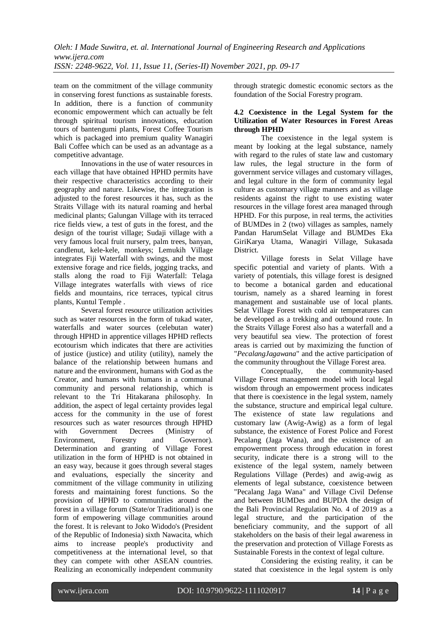team on the commitment of the village community in conserving forest functions as sustainable forests. In addition, there is a function of community economic empowerment which can actually be felt through spiritual tourism innovations, education tours of bantengumi plants, Forest Coffee Tourism which is packaged into premium quality Wanagiri Bali Coffee which can be used as an advantage as a competitive advantage.

Innovations in the use of water resources in each village that have obtained HPHD permits have their respective characteristics according to their geography and nature. Likewise, the integration is adjusted to the forest resources it has, such as the Straits Village with its natural roaming and herbal medicinal plants; Galungan Village with its terraced rice fields view, a test of guts in the forest, and the design of the tourist village; Sudaji village with a very famous local fruit nursery, palm trees, banyan, candlenut, kele-kele, monkeys; Lemukih Village integrates Fiji Waterfall with swings, and the most extensive forage and rice fields, jogging tracks, and stalls along the road to Fiji Waterfall: Telaga Village integrates waterfalls with views of rice fields and mountains, rice terraces, typical citrus plants, Kuntul Temple .

Several forest resource utilization activities such as water resources in the form of tukad water, waterfalls and water sources (celebutan water) through HPHD in apprentice villages HPHD reflects ecotourism which indicates that there are activities of justice (justice) and utility (utility), namely the balance of the relationship between humans and nature and the environment, humans with God as the Creator, and humans with humans in a communal community and personal relationship, which is relevant to the Tri Hitakarana philosophy. In addition, the aspect of legal certainty provides legal access for the community in the use of forest resources such as water resources through HPHD with Government Decrees (Ministry of Environment, Forestry and Governor). Determination and granting of Village Forest utilization in the form of HPHD is not obtained in an easy way, because it goes through several stages and evaluations, especially the sincerity and commitment of the village community in utilizing forests and maintaining forest functions. So the provision of HPHD to communities around the forest in a village forum (State/or Traditional) is one form of empowering village communities around the forest. It is relevant to Joko Widodo's (President of the Republic of Indonesia) sixth Nawacita, which aims to increase people's productivity and competitiveness at the international level, so that they can compete with other ASEAN countries. Realizing an economically independent community through strategic domestic economic sectors as the foundation of the Social Forestry program.

#### **4.2 Coexistence in the Legal System for the Utilization of Water Resources in Forest Areas through HPHD**

The coexistence in the legal system is meant by looking at the legal substance, namely with regard to the rules of state law and customary law rules, the legal structure in the form of government service villages and customary villages, and legal culture in the form of community legal culture as customary village manners and as village residents against the right to use existing water resources in the village forest area managed through HPHD. For this purpose, in real terms, the activities of BUMDes in 2 (two) villages as samples, namely Pandan HarumSelat Village and BUMDes Eka GiriKarya Utama, Wanagiri Village, Sukasada District.

Village forests in Selat Village have specific potential and variety of plants. With a variety of potentials, this village forest is designed to become a botanical garden and educational tourism, namely as a shared learning in forest management and sustainable use of local plants. Selat Village Forest with cold air temperatures can be developed as a trekking and outbound route. In the Straits Village Forest also has a waterfall and a very beautiful sea view. The protection of forest areas is carried out by maximizing the function of "*PecalangJagawana*" and the active participation of the community throughout the Village Forest area.

Conceptually, the community-based Village Forest management model with local legal wisdom through an empowerment process indicates that there is coexistence in the legal system, namely the substance, structure and empirical legal culture. The existence of state law regulations and customary law (Awig-Awig) as a form of legal substance, the existence of Forest Police and Forest Pecalang (Jaga Wana), and the existence of an empowerment process through education in forest security, indicate there is a strong will to the existence of the legal system, namely between Regulations Village (Perdes) and awig-awig as elements of legal substance, coexistence between "Pecalang Jaga Wana" and Village Civil Defense and between BUMDes and BUPDA the design of the Bali Provincial Regulation No. 4 of 2019 as a legal structure, and the participation of the beneficiary community, and the support of all stakeholders on the basis of their legal awareness in the preservation and protection of Village Forests as Sustainable Forests in the context of legal culture.

Considering the existing reality, it can be stated that coexistence in the legal system is only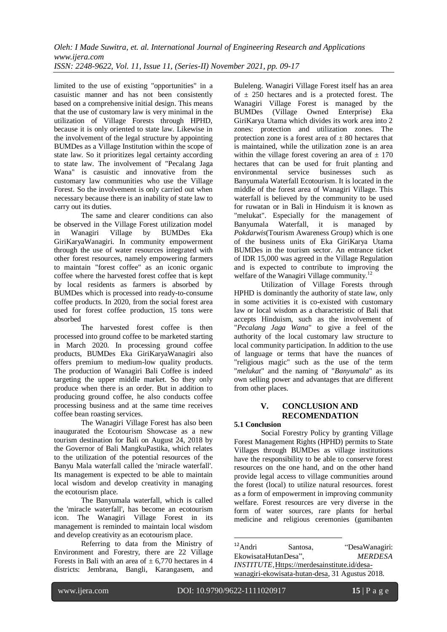limited to the use of existing "opportunities" in a casuistic manner and has not been consistently based on a comprehensive initial design. This means that the use of customary law is very minimal in the utilization of Village Forests through HPHD, because it is only oriented to state law. Likewise in the involvement of the legal structure by appointing BUMDes as a Village Institution within the scope of state law. So it prioritizes legal certainty according to state law. The involvement of "Pecalang Jaga Wana" is casuistic and innovative from the customary law communities who use the Village Forest. So the involvement is only carried out when necessary because there is an inability of state law to carry out its duties.

The same and clearer conditions can also be observed in the Village Forest utilization model in Wanagiri Village by BUMDes Eka GiriKaryaWanagiri. In community empowerment through the use of water resources integrated with other forest resources, namely empowering farmers to maintain "forest coffee" as an iconic organic coffee where the harvested forest coffee that is kept by local residents as farmers is absorbed by BUMDes which is processed into ready-to-consume coffee products. In 2020, from the social forest area used for forest coffee production, 15 tons were absorbed

The harvested forest coffee is then processed into ground coffee to be marketed starting in March 2020. In processing ground coffee products, BUMDes Eka GiriKaryaWanagiri also offers premium to medium-low quality products. The production of Wanagiri Bali Coffee is indeed targeting the upper middle market. So they only produce when there is an order. But in addition to producing ground coffee, he also conducts coffee processing business and at the same time receives coffee bean roasting services.

The Wanagiri Village Forest has also been inaugurated the Ecotourism Showcase as a new tourism destination for Bali on August 24, 2018 by the Governor of Bali MangkuPastika, which relates to the utilization of the potential resources of the Banyu Mala waterfall called the 'miracle waterfall'. Its management is expected to be able to maintain local wisdom and develop creativity in managing the ecotourism place.

The Banyumala waterfall, which is called the 'miracle waterfall', has become an ecotourism icon. The Wanagiri Village Forest in its management is reminded to maintain local wisdom and develop creativity as an ecotourism place.

Referring to data from the Ministry of Environment and Forestry, there are 22 Village Forests in Bali with an area of  $\pm$  6,770 hectares in 4 districts: Jembrana, Bangli, Karangasem, and Buleleng. Wanagiri Village Forest itself has an area of  $\pm$  250 hectares and is a protected forest. The Wanagiri Village Forest is managed by the BUMDes (Village Owned Enterprise) Eka GiriKarya Utama which divides its work area into 2 zones: protection and utilization zones. The protection zone is a forest area of  $+80$  hectares that is maintained, while the utilization zone is an area within the village forest covering an area of  $\pm$  170 hectares that can be used for fruit planting and environmental service businesses such as Banyumala Waterfall Ecotourism. It is located in the middle of the forest area of Wanagiri Village. This waterfall is believed by the community to be used for ruwatan or in Bali in Hinduism it is known as "melukat". Especially for the management of Banyumala Waterfall, it is managed by *Pokdarwis*(Tourism Awareness Group) which is one of the business units of Eka GiriKarya Utama BUMDes in the tourism sector. An entrance ticket of IDR 15,000 was agreed in the Village Regulation and is expected to contribute to improving the welfare of the Wanagiri Village community.<sup>12</sup>

Utilization of Village Forests through HPHD is dominantly the authority of state law, only in some activities it is co-existed with customary law or local wisdom as a characteristic of Bali that accepts Hinduism, such as the involvement of "*Pecalang Jaga Wana*" to give a feel of the authority of the local customary law structure to local community participation. In addition to the use of language or terms that have the nuances of "religious magic" such as the use of the term "*melukat*" and the naming of "*Banyumala*" as its own selling power and advantages that are different from other places.

## **V. CONCLUSION AND RECOMENDATION**

## **5.1 Conclusion**

Social Forestry Policy by granting Village Forest Management Rights (HPHD) permits to State Villages through BUMDes as village institutions have the responsibility to be able to conserve forest resources on the one hand, and on the other hand provide legal access to village communities around the forest (local) to utilize natural resources. forest as a form of empowerment in improving community welfare. Forest resources are very diverse in the form of water sources, rare plants for herbal medicine and religious ceremonies (gumibanten

 $12$ Andri Santosa, "DesaWanagiri: EkowisataHutanDesa", *MERDESA INSTITUTE*[,Https://merdesainstitute.id/desa](https://merdesainstitute.id/desa-wanagiri-ekowisata-hutan-desa)[wanagiri-ekowisata-hutan-desa,](https://merdesainstitute.id/desa-wanagiri-ekowisata-hutan-desa) 31 Agustus 2018.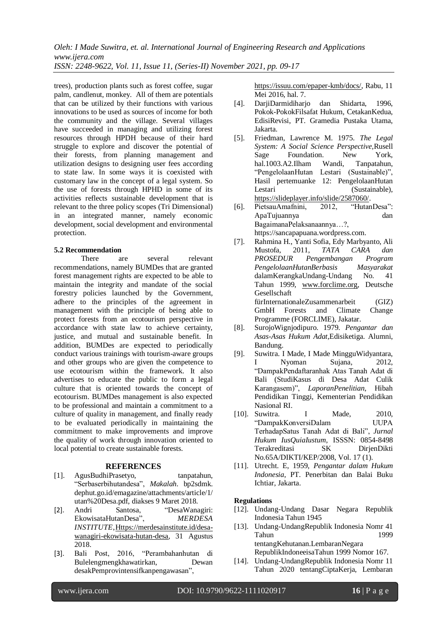trees), production plants such as forest coffee, sugar palm, candlenut, monkey. All of them are potentials that can be utilized by their functions with various innovations to be used as sources of income for both the community and the village. Several villages have succeeded in managing and utilizing forest resources through HPDH because of their hard struggle to explore and discover the potential of their forests, from planning management and utilization designs to designing user fees according to state law. In some ways it is coexisted with customary law in the concept of a legal system. So the use of forests through HPHD in some of its activities reflects sustainable development that is relevant to the three policy scopes (Tri Dimensional) in an integrated manner, namely economic development, social development and environmental protection.

#### **5.2 Recommendation**

There are several relevant recommendations, namely BUMDes that are granted forest management rights are expected to be able to maintain the integrity and mandate of the social forestry policies launched by the Government, adhere to the principles of the agreement in management with the principle of being able to protect forests from an ecotourism perspective in accordance with state law to achieve certainty, justice, and mutual and sustainable benefit. In addition, BUMDes are expected to periodically conduct various trainings with tourism-aware groups and other groups who are given the competence to use ecotourism within the framework. It also advertises to educate the public to form a legal culture that is oriented towards the concept of ecotourism. BUMDes management is also expected to be professional and maintain a commitment to a culture of quality in management, and finally ready to be evaluated periodically in maintaining the commitment to make improvements and improve the quality of work through innovation oriented to local potential to create sustainable forests.

#### **REFERENCES**

- [1]. AgusBudhiPrasetyo, tanpatahun, "Serbaserbihutandesa", *Makalah*. bp2sdmk. dephut.go.id/emagazine/attachments/article/1/ utan%20Desa.pdf, diakses 9 Maret 2018.
- [2]. [Andri Santosa,](mailto:andri.santosa@fkkm.org) "DesaWanagiri: EkowisataHutanDesa", *MERDESA INSTITUTE*[,Https://merdesainstitute.id/desa](https://merdesainstitute.id/desa-wanagiri-ekowisata-hutan-desa)[wanagiri-ekowisata-hutan-desa,](https://merdesainstitute.id/desa-wanagiri-ekowisata-hutan-desa) 31 Agustus 2018.
- [3]. Bali Post, 2016, "Perambahanhutan di Bulelengmengkhawatirkan, Dewan desakPemprovintensifkanpengawasan",

[https://issuu.com/epaper-kmb/docs/,](https://issuu.com/epaper-kmb/docs/) Rabu, 11 Mei 2016, hal. 7.

- [4]. DarjiDarmidiharjo dan Shidarta, 1996, Pokok-PokokFilsafat Hukum, CetakanKedua, EdisiRevisi, PT. Gramedia Pustaka Utama, Jakarta.
- [5]. Friedman, Lawrence M. 1975. *The Legal System: A Social Science Perspective,*Rusell Sage Foundation. New York, hal.1003.A2.Ilham Wandi, Tanpatahun, "PengelolaanHutan Lestari (Sustainable)", Hasil pertemuanke 12: PengelolaanHutan Lestari (Sustainable), [https://slideplayer.info/slide/2587060/.](https://slideplayer.info/slide/2587060/)
- [6]. PietsauAmafnini, 2012, "HutanDesa": ApaTujuannya dan BagaimanaPelaksanaannya…?, https://sancapapuana.wordpress.com.
- [7]. Rahmina H., Yanti Sofia, Edy Marbyanto, Ali Mustofa, 2011, *TATA CARA dan PROSEDUR Pengembangan Program PengelolaanHutanBerbasis Masyarakat*  dalamKerangkaUndang-Undang No. 41 Tahun 1999, [www.forclime.org,](http://www.forclime.org/) Deutsche Gesellschaft fürInternationaleZusammenarbeit (GIZ) GmbH Forests and Climate Change Programme (FORCLIME), Jakatar.
- [8]. SurojoWignjodipuro. 1979. *Pengantar dan Asas-Asas Hukum Adat,*Edisiketiga. Alumni, Bandung.
- [9]. Suwitra. I Made, I Made MingguWidyantara, I Nyoman Sujana, 2012, "DampakPendaftaranhak Atas Tanah Adat di Bali (StudiKasus di Desa Adat Culik Karangasem)", *LaporanPenelitian*, Hibah Pendidikan Tinggi, Kementerian Pendidikan Nasional RI.
- [10]. Suwitra. I Made, 2010, "DampakKonversiDalam UUPA TerhadapSatus Tanah Adat di Bali", *Jurnal Hukum IusQuiaIustum*, ISSSN: 0854-8498 Terakreditasi SK DirjenDikti No.65A/DIKTI/KEP/2008, Vol. 17 (1).
- [11]. Utrecht. E, 1959, *Pengantar dalam Hukum Indonesia*, PT. Penerbitan dan Balai Buku Ichtiar, Jakarta.

#### **Regulations**

- [12]. Undang-Undang Dasar Negara Republik Indonesia Tahun 1945
- [13]. Undang-UndangRepublik Indonesia Nomr 41 Tahun 1999 tentangKehutanan.LembaranNegara RepublikIndoneeisaTahun 1999 Nomor 167.
- [14]. Undang-UndangRepublik Indonesia Nomr 11 Tahun 2020 tentangCiptaKerja, Lembaran